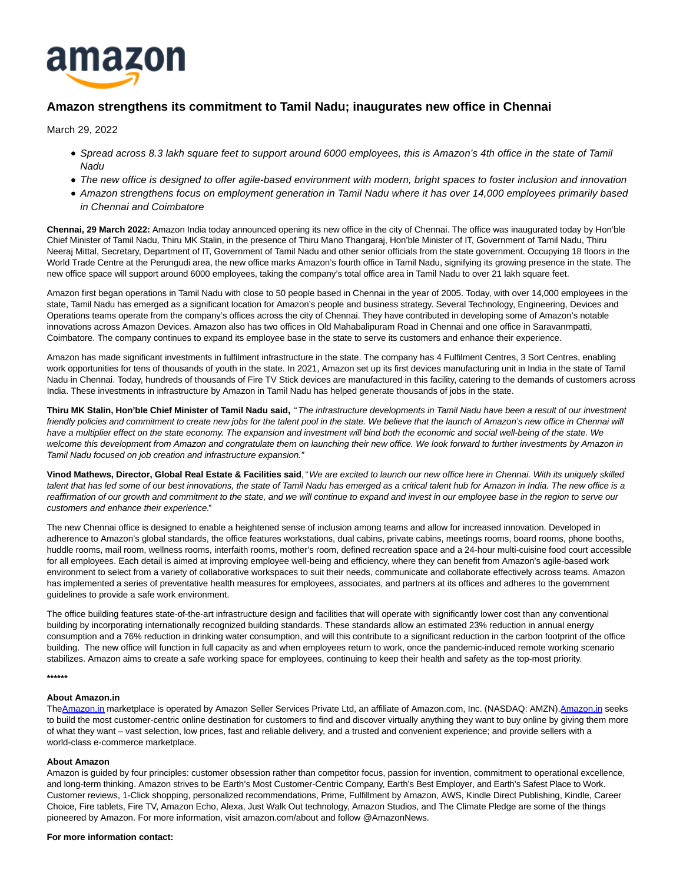

## **Amazon strengthens its commitment to Tamil Nadu; inaugurates new office in Chennai**

March 29, 2022

- Spread across 8.3 lakh square feet to support around 6000 employees, this is Amazon's 4th office in the state of Tamil Nadu
- The new office is designed to offer agile-based environment with modern, bright spaces to foster inclusion and innovation
- Amazon strengthens focus on employment generation in Tamil Nadu where it has over 14,000 employees primarily based in Chennai and Coimbatore

**Chennai, 29 March 2022:** Amazon India today announced opening its new office in the city of Chennai. The office was inaugurated today by Hon'ble Chief Minister of Tamil Nadu, Thiru MK Stalin, in the presence of Thiru Mano Thangaraj, Hon'ble Minister of IT, Government of Tamil Nadu, Thiru Neeraj Mittal, Secretary, Department of IT, Government of Tamil Nadu and other senior officials from the state government. Occupying 18 floors in the World Trade Centre at the Perungudi area, the new office marks Amazon's fourth office in Tamil Nadu, signifying its growing presence in the state. The new office space will support around 6000 employees, taking the company's total office area in Tamil Nadu to over 21 lakh square feet.

Amazon first began operations in Tamil Nadu with close to 50 people based in Chennai in the year of 2005. Today, with over 14,000 employees in the state, Tamil Nadu has emerged as a significant location for Amazon's people and business strategy. Several Technology, Engineering, Devices and Operations teams operate from the company's offices across the city of Chennai. They have contributed in developing some of Amazon's notable innovations across Amazon Devices. Amazon also has two offices in Old Mahabalipuram Road in Chennai and one office in Saravanmpatti, Coimbatore. The company continues to expand its employee base in the state to serve its customers and enhance their experience.

Amazon has made significant investments in fulfilment infrastructure in the state. The company has 4 Fulfilment Centres, 3 Sort Centres, enabling work opportunities for tens of thousands of youth in the state. In 2021, Amazon set up its first devices manufacturing unit in India in the state of Tamil Nadu in Chennai. Today, hundreds of thousands of Fire TV Stick devices are manufactured in this facility, catering to the demands of customers across India. These investments in infrastructure by Amazon in Tamil Nadu has helped generate thousands of jobs in the state.

**Thiru MK Stalin, Hon'ble Chief Minister of Tamil Nadu said,** "The infrastructure developments in Tamil Nadu have been a result of our investment friendly policies and commitment to create new jobs for the talent pool in the state. We believe that the launch of Amazon's new office in Chennai will have a multiplier effect on the state economy. The expansion and investment will bind both the economic and social well-being of the state. We welcome this development from Amazon and congratulate them on launching their new office. We look forward to further investments by Amazon in Tamil Nadu focused on job creation and infrastructure expansion."

**Vinod Mathews, Director, Global Real Estate & Facilities said**, "We are excited to launch our new office here in Chennai. With its uniquely skilled talent that has led some of our best innovations, the state of Tamil Nadu has emerged as a critical talent hub for Amazon in India. The new office is a reaffirmation of our growth and commitment to the state, and we will continue to expand and invest in our employee base in the region to serve our customers and enhance their experience."

The new Chennai office is designed to enable a heightened sense of inclusion among teams and allow for increased innovation. Developed in adherence to Amazon's global standards, the office features workstations, dual cabins, private cabins, meetings rooms, board rooms, phone booths, huddle rooms, mail room, wellness rooms, interfaith rooms, mother's room, defined recreation space and a 24-hour multi-cuisine food court accessible for all employees. Each detail is aimed at improving employee well-being and efficiency, where they can benefit from Amazon's agile-based work environment to select from a variety of collaborative workspaces to suit their needs, communicate and collaborate effectively across teams. Amazon has implemented a series of preventative health measures for employees, associates, and partners at its offices and adheres to the government guidelines to provide a safe work environment.

The office building features state-of-the-art infrastructure design and facilities that will operate with significantly lower cost than any conventional building by incorporating internationally recognized building standards. These standards allow an estimated 23% reduction in annual energy consumption and a 76% reduction in drinking water consumption, and will this contribute to a significant reduction in the carbon footprint of the office building. The new office will function in full capacity as and when employees return to work, once the pandemic-induced remote working scenario stabilizes. Amazon aims to create a safe working space for employees, continuing to keep their health and safety as the top-most priority.

**\*\*\*\*\*\***

## **About Amazon.in**

Th[eAmazon.in m](http://www.amazon.in/)arketplace is operated by Amazon Seller Services Private Ltd, an affiliate of Amazon.com, Inc. (NASDAQ: AMZN)[.Amazon.in s](http://www.amazon.in/)eeks to build the most customer-centric online destination for customers to find and discover virtually anything they want to buy online by giving them more of what they want – vast selection, low prices, fast and reliable delivery, and a trusted and convenient experience; and provide sellers with a world-class e-commerce marketplace.

## **About Amazon**

Amazon is guided by four principles: customer obsession rather than competitor focus, passion for invention, commitment to operational excellence, and long-term thinking. Amazon strives to be Earth's Most Customer-Centric Company, Earth's Best Employer, and Earth's Safest Place to Work. Customer reviews, 1-Click shopping, personalized recommendations, Prime, Fulfillment by Amazon, AWS, Kindle Direct Publishing, Kindle, Career Choice, Fire tablets, Fire TV, Amazon Echo, Alexa, Just Walk Out technology, Amazon Studios, and The Climate Pledge are some of the things pioneered by Amazon. For more information, visit amazon.com/about and follow @AmazonNews.

## **For more information contact:**